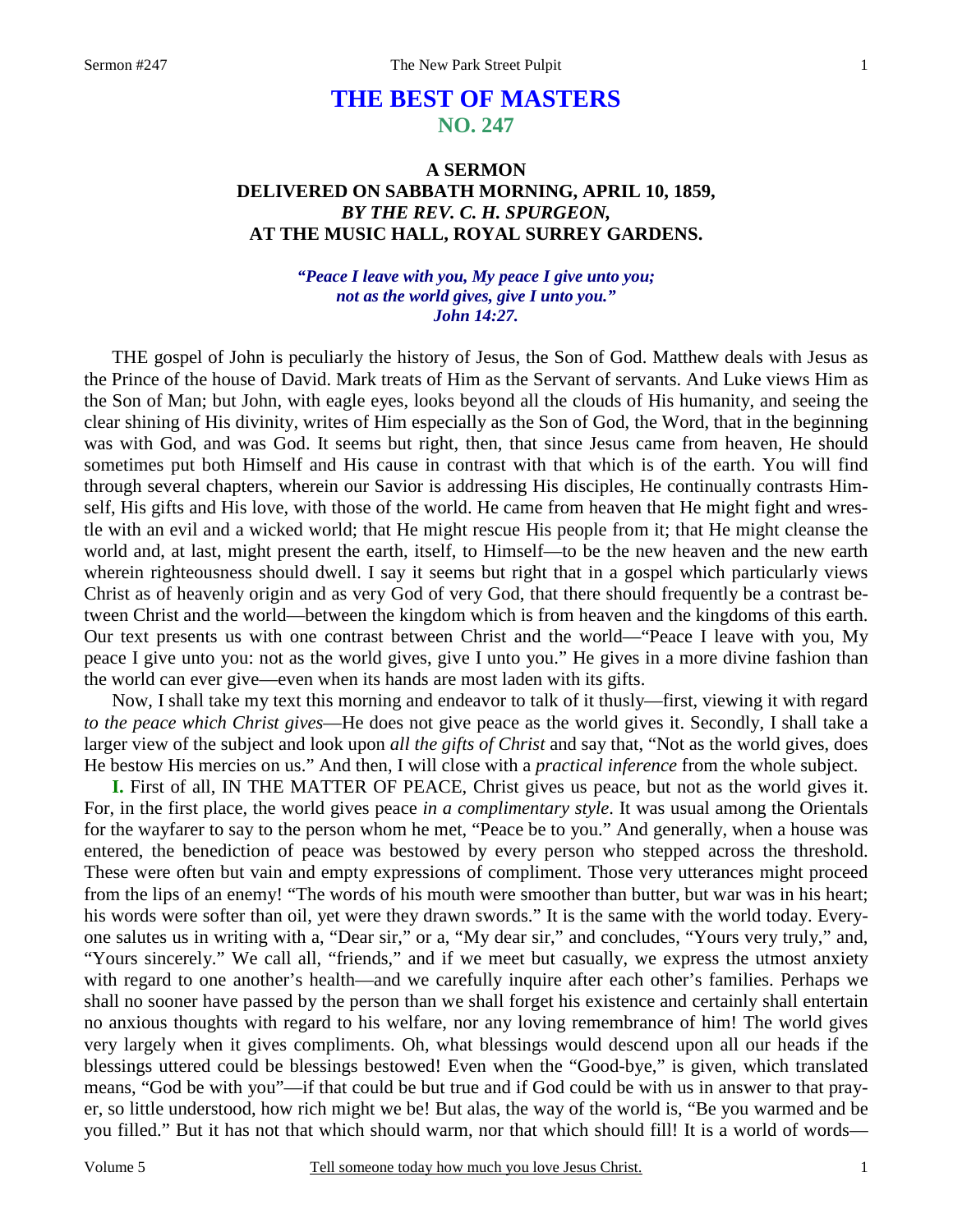# **THE BEST OF MASTERS NO. 247**

# **A SERMON DELIVERED ON SABBATH MORNING, APRIL 10, 1859,** *BY THE REV. C. H. SPURGEON,* **AT THE MUSIC HALL, ROYAL SURREY GARDENS.**

# *"Peace I leave with you, My peace I give unto you; not as the world gives, give I unto you." John 14:27.*

THE gospel of John is peculiarly the history of Jesus, the Son of God. Matthew deals with Jesus as the Prince of the house of David. Mark treats of Him as the Servant of servants. And Luke views Him as the Son of Man; but John, with eagle eyes, looks beyond all the clouds of His humanity, and seeing the clear shining of His divinity, writes of Him especially as the Son of God, the Word, that in the beginning was with God, and was God. It seems but right, then, that since Jesus came from heaven, He should sometimes put both Himself and His cause in contrast with that which is of the earth. You will find through several chapters, wherein our Savior is addressing His disciples, He continually contrasts Himself, His gifts and His love, with those of the world. He came from heaven that He might fight and wrestle with an evil and a wicked world; that He might rescue His people from it; that He might cleanse the world and, at last, might present the earth, itself, to Himself—to be the new heaven and the new earth wherein righteousness should dwell. I say it seems but right that in a gospel which particularly views Christ as of heavenly origin and as very God of very God, that there should frequently be a contrast between Christ and the world—between the kingdom which is from heaven and the kingdoms of this earth. Our text presents us with one contrast between Christ and the world—"Peace I leave with you, My peace I give unto you: not as the world gives, give I unto you." He gives in a more divine fashion than the world can ever give—even when its hands are most laden with its gifts.

Now, I shall take my text this morning and endeavor to talk of it thusly—first, viewing it with regard *to the peace which Christ gives*—He does not give peace as the world gives it. Secondly, I shall take a larger view of the subject and look upon *all the gifts of Christ* and say that, "Not as the world gives, does He bestow His mercies on us." And then, I will close with a *practical inference* from the whole subject.

**I.** First of all, IN THE MATTER OF PEACE, Christ gives us peace, but not as the world gives it. For, in the first place, the world gives peace *in a complimentary style*. It was usual among the Orientals for the wayfarer to say to the person whom he met, "Peace be to you." And generally, when a house was entered, the benediction of peace was bestowed by every person who stepped across the threshold. These were often but vain and empty expressions of compliment. Those very utterances might proceed from the lips of an enemy! "The words of his mouth were smoother than butter, but war was in his heart; his words were softer than oil, yet were they drawn swords." It is the same with the world today. Everyone salutes us in writing with a, "Dear sir," or a, "My dear sir," and concludes, "Yours very truly," and, "Yours sincerely." We call all, "friends," and if we meet but casually, we express the utmost anxiety with regard to one another's health—and we carefully inquire after each other's families. Perhaps we shall no sooner have passed by the person than we shall forget his existence and certainly shall entertain no anxious thoughts with regard to his welfare, nor any loving remembrance of him! The world gives very largely when it gives compliments. Oh, what blessings would descend upon all our heads if the blessings uttered could be blessings bestowed! Even when the "Good-bye," is given, which translated means, "God be with you"—if that could be but true and if God could be with us in answer to that prayer, so little understood, how rich might we be! But alas, the way of the world is, "Be you warmed and be you filled." But it has not that which should warm, nor that which should fill! It is a world of words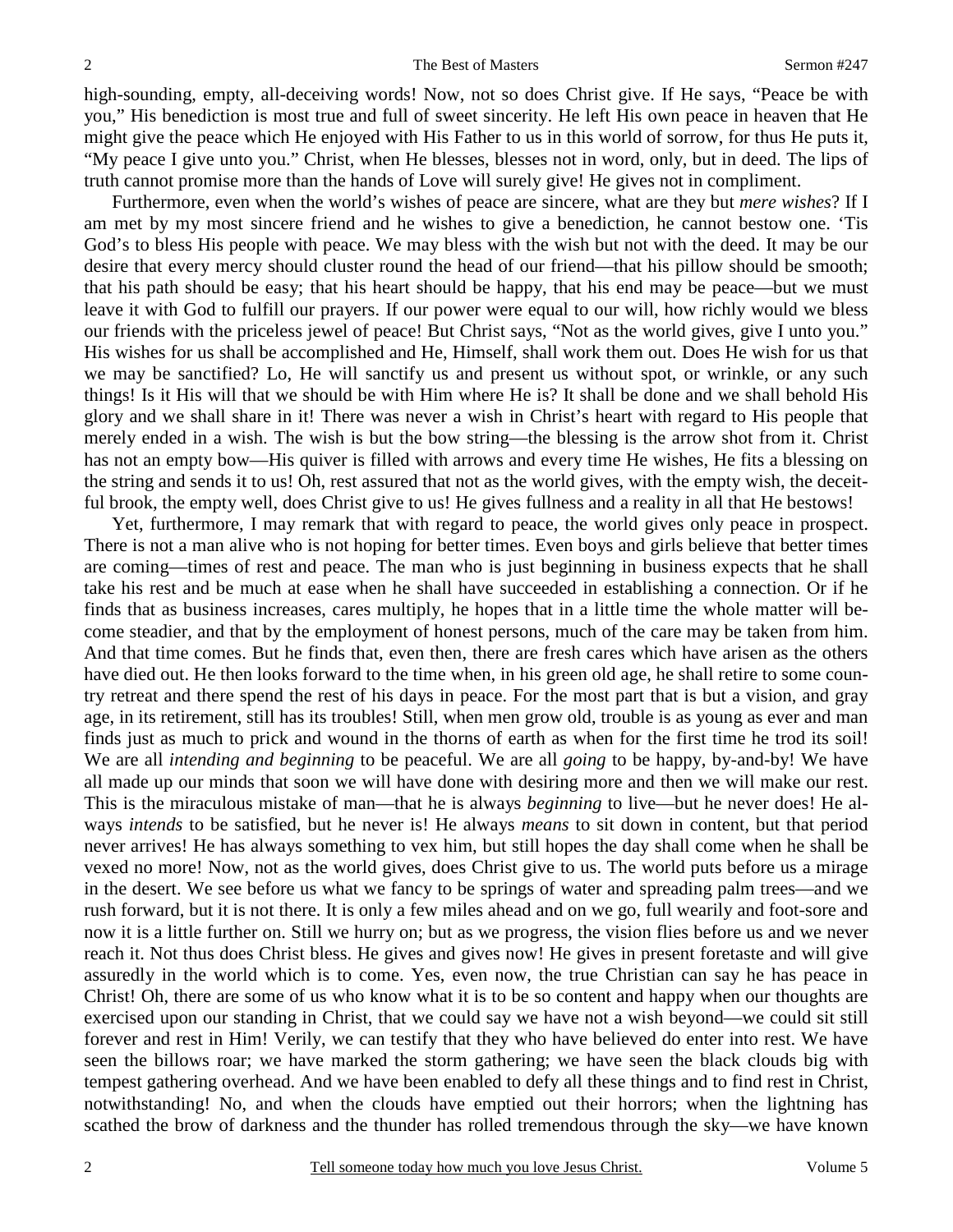high-sounding, empty, all-deceiving words! Now, not so does Christ give. If He says, "Peace be with you," His benediction is most true and full of sweet sincerity. He left His own peace in heaven that He might give the peace which He enjoyed with His Father to us in this world of sorrow, for thus He puts it, "My peace I give unto you." Christ, when He blesses, blesses not in word, only, but in deed. The lips of truth cannot promise more than the hands of Love will surely give! He gives not in compliment.

Furthermore, even when the world's wishes of peace are sincere, what are they but *mere wishes*? If I am met by my most sincere friend and he wishes to give a benediction, he cannot bestow one. 'Tis God's to bless His people with peace. We may bless with the wish but not with the deed. It may be our desire that every mercy should cluster round the head of our friend—that his pillow should be smooth; that his path should be easy; that his heart should be happy, that his end may be peace—but we must leave it with God to fulfill our prayers. If our power were equal to our will, how richly would we bless our friends with the priceless jewel of peace! But Christ says, "Not as the world gives, give I unto you." His wishes for us shall be accomplished and He, Himself, shall work them out. Does He wish for us that we may be sanctified? Lo, He will sanctify us and present us without spot, or wrinkle, or any such things! Is it His will that we should be with Him where He is? It shall be done and we shall behold His glory and we shall share in it! There was never a wish in Christ's heart with regard to His people that merely ended in a wish. The wish is but the bow string—the blessing is the arrow shot from it. Christ has not an empty bow—His quiver is filled with arrows and every time He wishes, He fits a blessing on the string and sends it to us! Oh, rest assured that not as the world gives, with the empty wish, the deceitful brook, the empty well, does Christ give to us! He gives fullness and a reality in all that He bestows!

Yet, furthermore, I may remark that with regard to peace, the world gives only peace in prospect. There is not a man alive who is not hoping for better times. Even boys and girls believe that better times are coming—times of rest and peace. The man who is just beginning in business expects that he shall take his rest and be much at ease when he shall have succeeded in establishing a connection. Or if he finds that as business increases, cares multiply, he hopes that in a little time the whole matter will become steadier, and that by the employment of honest persons, much of the care may be taken from him. And that time comes. But he finds that, even then, there are fresh cares which have arisen as the others have died out. He then looks forward to the time when, in his green old age, he shall retire to some country retreat and there spend the rest of his days in peace. For the most part that is but a vision, and gray age, in its retirement, still has its troubles! Still, when men grow old, trouble is as young as ever and man finds just as much to prick and wound in the thorns of earth as when for the first time he trod its soil! We are all *intending and beginning* to be peaceful. We are all *going* to be happy, by-and-by! We have all made up our minds that soon we will have done with desiring more and then we will make our rest. This is the miraculous mistake of man—that he is always *beginning* to live—but he never does! He always *intends* to be satisfied, but he never is! He always *means* to sit down in content, but that period never arrives! He has always something to vex him, but still hopes the day shall come when he shall be vexed no more! Now, not as the world gives, does Christ give to us. The world puts before us a mirage in the desert. We see before us what we fancy to be springs of water and spreading palm trees—and we rush forward, but it is not there. It is only a few miles ahead and on we go, full wearily and foot-sore and now it is a little further on. Still we hurry on; but as we progress, the vision flies before us and we never reach it. Not thus does Christ bless. He gives and gives now! He gives in present foretaste and will give assuredly in the world which is to come. Yes, even now, the true Christian can say he has peace in Christ! Oh, there are some of us who know what it is to be so content and happy when our thoughts are exercised upon our standing in Christ, that we could say we have not a wish beyond—we could sit still forever and rest in Him! Verily, we can testify that they who have believed do enter into rest. We have seen the billows roar; we have marked the storm gathering; we have seen the black clouds big with tempest gathering overhead. And we have been enabled to defy all these things and to find rest in Christ, notwithstanding! No, and when the clouds have emptied out their horrors; when the lightning has scathed the brow of darkness and the thunder has rolled tremendous through the sky—we have known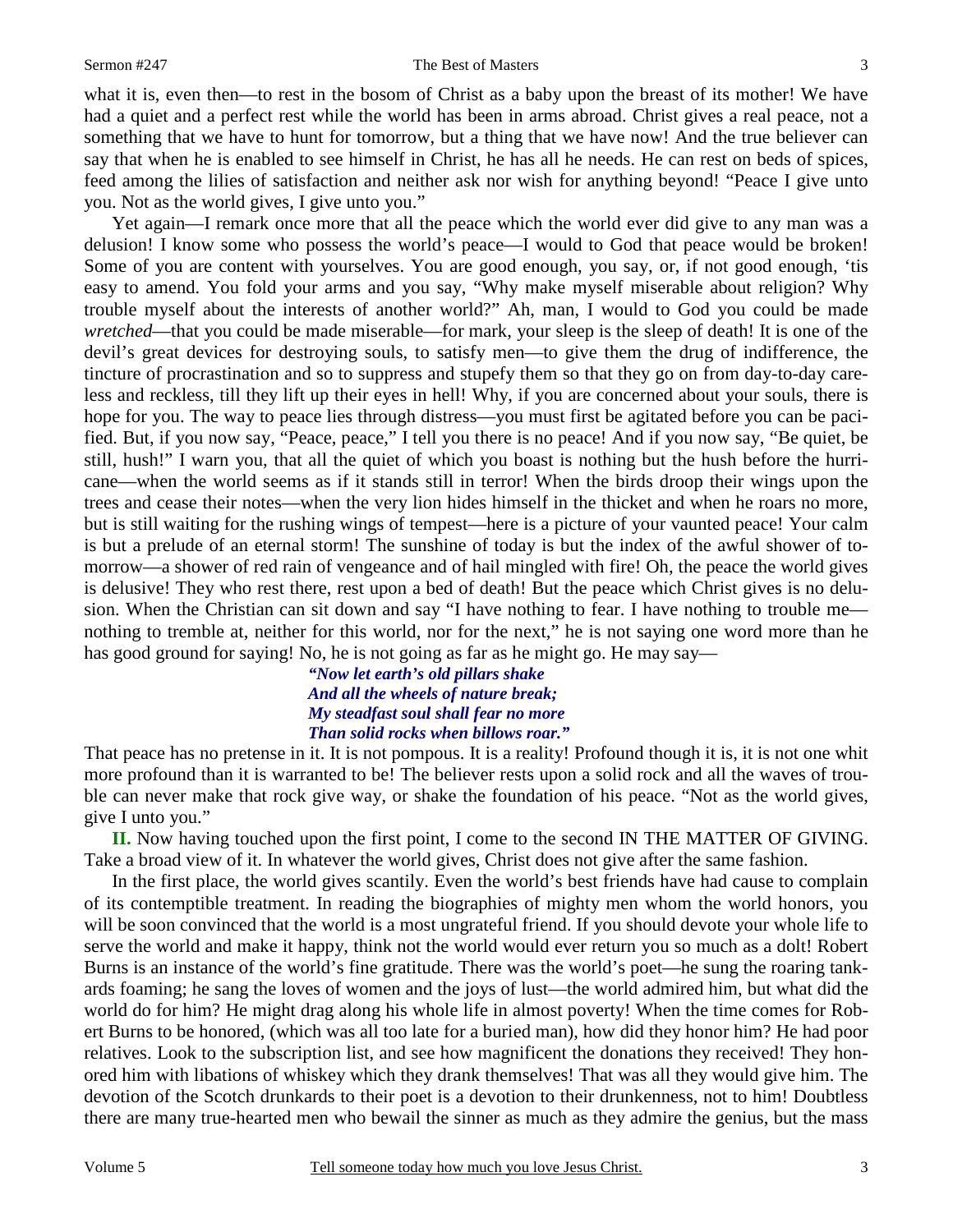#### Sermon #247 The Best of Masters

3 what it is, even then—to rest in the bosom of Christ as a baby upon the breast of its mother! We have

had a quiet and a perfect rest while the world has been in arms abroad. Christ gives a real peace, not a something that we have to hunt for tomorrow, but a thing that we have now! And the true believer can say that when he is enabled to see himself in Christ, he has all he needs. He can rest on beds of spices, feed among the lilies of satisfaction and neither ask nor wish for anything beyond! "Peace I give unto you. Not as the world gives, I give unto you."

Yet again—I remark once more that all the peace which the world ever did give to any man was a delusion! I know some who possess the world's peace—I would to God that peace would be broken! Some of you are content with yourselves. You are good enough, you say, or, if not good enough, 'tis easy to amend. You fold your arms and you say, "Why make myself miserable about religion? Why trouble myself about the interests of another world?" Ah, man, I would to God you could be made *wretched*—that you could be made miserable—for mark, your sleep is the sleep of death! It is one of the devil's great devices for destroying souls, to satisfy men—to give them the drug of indifference, the tincture of procrastination and so to suppress and stupefy them so that they go on from day-to-day careless and reckless, till they lift up their eyes in hell! Why, if you are concerned about your souls, there is hope for you. The way to peace lies through distress—you must first be agitated before you can be pacified. But, if you now say, "Peace, peace," I tell you there is no peace! And if you now say, "Be quiet, be still, hush!" I warn you, that all the quiet of which you boast is nothing but the hush before the hurricane—when the world seems as if it stands still in terror! When the birds droop their wings upon the trees and cease their notes—when the very lion hides himself in the thicket and when he roars no more, but is still waiting for the rushing wings of tempest—here is a picture of your vaunted peace! Your calm is but a prelude of an eternal storm! The sunshine of today is but the index of the awful shower of tomorrow—a shower of red rain of vengeance and of hail mingled with fire! Oh, the peace the world gives is delusive! They who rest there, rest upon a bed of death! But the peace which Christ gives is no delusion. When the Christian can sit down and say "I have nothing to fear. I have nothing to trouble me nothing to tremble at, neither for this world, nor for the next," he is not saying one word more than he has good ground for saying! No, he is not going as far as he might go. He may say—

# *"Now let earth's old pillars shake And all the wheels of nature break; My steadfast soul shall fear no more Than solid rocks when billows roar."*

That peace has no pretense in it. It is not pompous. It is a reality! Profound though it is, it is not one whit more profound than it is warranted to be! The believer rests upon a solid rock and all the waves of trouble can never make that rock give way, or shake the foundation of his peace. "Not as the world gives, give I unto you."

**II.** Now having touched upon the first point, I come to the second IN THE MATTER OF GIVING. Take a broad view of it. In whatever the world gives, Christ does not give after the same fashion.

In the first place, the world gives scantily. Even the world's best friends have had cause to complain of its contemptible treatment. In reading the biographies of mighty men whom the world honors, you will be soon convinced that the world is a most ungrateful friend. If you should devote your whole life to serve the world and make it happy, think not the world would ever return you so much as a dolt! Robert Burns is an instance of the world's fine gratitude. There was the world's poet—he sung the roaring tankards foaming; he sang the loves of women and the joys of lust—the world admired him, but what did the world do for him? He might drag along his whole life in almost poverty! When the time comes for Robert Burns to be honored, (which was all too late for a buried man), how did they honor him? He had poor relatives. Look to the subscription list, and see how magnificent the donations they received! They honored him with libations of whiskey which they drank themselves! That was all they would give him. The devotion of the Scotch drunkards to their poet is a devotion to their drunkenness, not to him! Doubtless there are many true-hearted men who bewail the sinner as much as they admire the genius, but the mass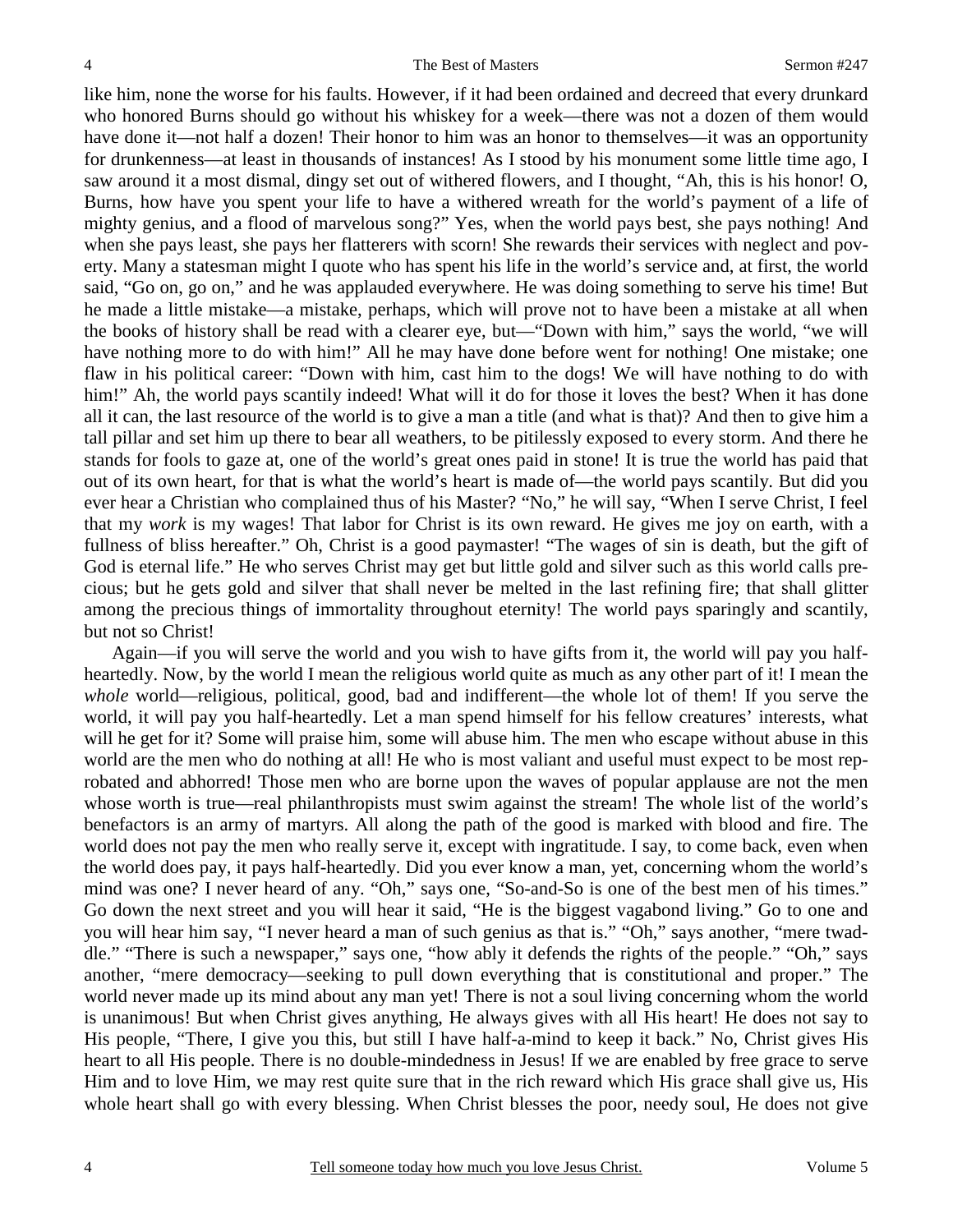like him, none the worse for his faults. However, if it had been ordained and decreed that every drunkard who honored Burns should go without his whiskey for a week—there was not a dozen of them would have done it—not half a dozen! Their honor to him was an honor to themselves—it was an opportunity for drunkenness—at least in thousands of instances! As I stood by his monument some little time ago, I saw around it a most dismal, dingy set out of withered flowers, and I thought, "Ah, this is his honor! O, Burns, how have you spent your life to have a withered wreath for the world's payment of a life of mighty genius, and a flood of marvelous song?" Yes, when the world pays best, she pays nothing! And when she pays least, she pays her flatterers with scorn! She rewards their services with neglect and poverty. Many a statesman might I quote who has spent his life in the world's service and, at first, the world said, "Go on, go on," and he was applauded everywhere. He was doing something to serve his time! But he made a little mistake—a mistake, perhaps, which will prove not to have been a mistake at all when the books of history shall be read with a clearer eye, but—"Down with him," says the world, "we will have nothing more to do with him!" All he may have done before went for nothing! One mistake; one flaw in his political career: "Down with him, cast him to the dogs! We will have nothing to do with him!" Ah, the world pays scantily indeed! What will it do for those it loves the best? When it has done all it can, the last resource of the world is to give a man a title (and what is that)? And then to give him a tall pillar and set him up there to bear all weathers, to be pitilessly exposed to every storm. And there he stands for fools to gaze at, one of the world's great ones paid in stone! It is true the world has paid that out of its own heart, for that is what the world's heart is made of—the world pays scantily. But did you ever hear a Christian who complained thus of his Master? "No," he will say, "When I serve Christ, I feel that my *work* is my wages! That labor for Christ is its own reward. He gives me joy on earth, with a fullness of bliss hereafter." Oh, Christ is a good paymaster! "The wages of sin is death, but the gift of God is eternal life." He who serves Christ may get but little gold and silver such as this world calls precious; but he gets gold and silver that shall never be melted in the last refining fire; that shall glitter among the precious things of immortality throughout eternity! The world pays sparingly and scantily, but not so Christ!

Again—if you will serve the world and you wish to have gifts from it, the world will pay you halfheartedly. Now, by the world I mean the religious world quite as much as any other part of it! I mean the *whole* world—religious, political, good, bad and indifferent—the whole lot of them! If you serve the world, it will pay you half-heartedly. Let a man spend himself for his fellow creatures' interests, what will he get for it? Some will praise him, some will abuse him. The men who escape without abuse in this world are the men who do nothing at all! He who is most valiant and useful must expect to be most reprobated and abhorred! Those men who are borne upon the waves of popular applause are not the men whose worth is true—real philanthropists must swim against the stream! The whole list of the world's benefactors is an army of martyrs. All along the path of the good is marked with blood and fire. The world does not pay the men who really serve it, except with ingratitude. I say, to come back, even when the world does pay, it pays half-heartedly. Did you ever know a man, yet, concerning whom the world's mind was one? I never heard of any. "Oh," says one, "So-and-So is one of the best men of his times." Go down the next street and you will hear it said, "He is the biggest vagabond living." Go to one and you will hear him say, "I never heard a man of such genius as that is." "Oh," says another, "mere twaddle." "There is such a newspaper," says one, "how ably it defends the rights of the people." "Oh," says another, "mere democracy—seeking to pull down everything that is constitutional and proper." The world never made up its mind about any man yet! There is not a soul living concerning whom the world is unanimous! But when Christ gives anything, He always gives with all His heart! He does not say to His people, "There, I give you this, but still I have half-a-mind to keep it back." No, Christ gives His heart to all His people. There is no double-mindedness in Jesus! If we are enabled by free grace to serve Him and to love Him, we may rest quite sure that in the rich reward which His grace shall give us, His whole heart shall go with every blessing. When Christ blesses the poor, needy soul, He does not give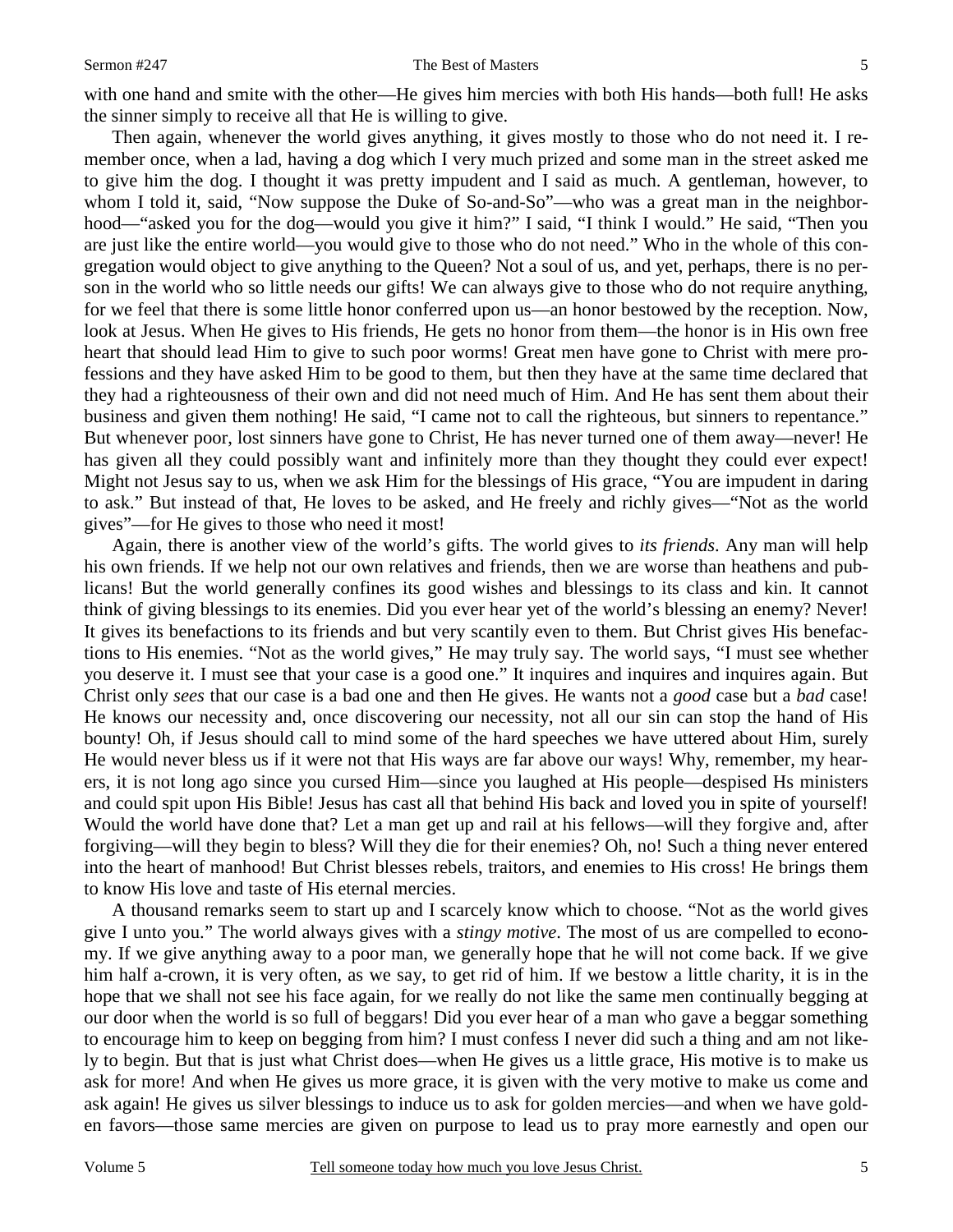with one hand and smite with the other—He gives him mercies with both His hands—both full! He asks the sinner simply to receive all that He is willing to give.

Then again, whenever the world gives anything, it gives mostly to those who do not need it. I remember once, when a lad, having a dog which I very much prized and some man in the street asked me to give him the dog. I thought it was pretty impudent and I said as much. A gentleman, however, to whom I told it, said, "Now suppose the Duke of So-and-So"—who was a great man in the neighborhood—"asked you for the dog—would you give it him?" I said, "I think I would." He said, "Then you are just like the entire world—you would give to those who do not need." Who in the whole of this congregation would object to give anything to the Queen? Not a soul of us, and yet, perhaps, there is no person in the world who so little needs our gifts! We can always give to those who do not require anything, for we feel that there is some little honor conferred upon us—an honor bestowed by the reception. Now, look at Jesus. When He gives to His friends, He gets no honor from them—the honor is in His own free heart that should lead Him to give to such poor worms! Great men have gone to Christ with mere professions and they have asked Him to be good to them, but then they have at the same time declared that they had a righteousness of their own and did not need much of Him. And He has sent them about their business and given them nothing! He said, "I came not to call the righteous, but sinners to repentance." But whenever poor, lost sinners have gone to Christ, He has never turned one of them away—never! He has given all they could possibly want and infinitely more than they thought they could ever expect! Might not Jesus say to us, when we ask Him for the blessings of His grace, "You are impudent in daring to ask." But instead of that, He loves to be asked, and He freely and richly gives—"Not as the world gives"—for He gives to those who need it most!

Again, there is another view of the world's gifts. The world gives to *its friends*. Any man will help his own friends. If we help not our own relatives and friends, then we are worse than heathens and publicans! But the world generally confines its good wishes and blessings to its class and kin. It cannot think of giving blessings to its enemies. Did you ever hear yet of the world's blessing an enemy? Never! It gives its benefactions to its friends and but very scantily even to them. But Christ gives His benefactions to His enemies. "Not as the world gives," He may truly say. The world says, "I must see whether you deserve it. I must see that your case is a good one." It inquires and inquires and inquires again. But Christ only *sees* that our case is a bad one and then He gives. He wants not a *good* case but a *bad* case! He knows our necessity and, once discovering our necessity, not all our sin can stop the hand of His bounty! Oh, if Jesus should call to mind some of the hard speeches we have uttered about Him, surely He would never bless us if it were not that His ways are far above our ways! Why, remember, my hearers, it is not long ago since you cursed Him—since you laughed at His people—despised Hs ministers and could spit upon His Bible! Jesus has cast all that behind His back and loved you in spite of yourself! Would the world have done that? Let a man get up and rail at his fellows—will they forgive and, after forgiving—will they begin to bless? Will they die for their enemies? Oh, no! Such a thing never entered into the heart of manhood! But Christ blesses rebels, traitors, and enemies to His cross! He brings them to know His love and taste of His eternal mercies.

A thousand remarks seem to start up and I scarcely know which to choose. "Not as the world gives give I unto you." The world always gives with a *stingy motive*. The most of us are compelled to economy. If we give anything away to a poor man, we generally hope that he will not come back. If we give him half a-crown, it is very often, as we say, to get rid of him. If we bestow a little charity, it is in the hope that we shall not see his face again, for we really do not like the same men continually begging at our door when the world is so full of beggars! Did you ever hear of a man who gave a beggar something to encourage him to keep on begging from him? I must confess I never did such a thing and am not likely to begin. But that is just what Christ does—when He gives us a little grace, His motive is to make us ask for more! And when He gives us more grace, it is given with the very motive to make us come and ask again! He gives us silver blessings to induce us to ask for golden mercies—and when we have golden favors—those same mercies are given on purpose to lead us to pray more earnestly and open our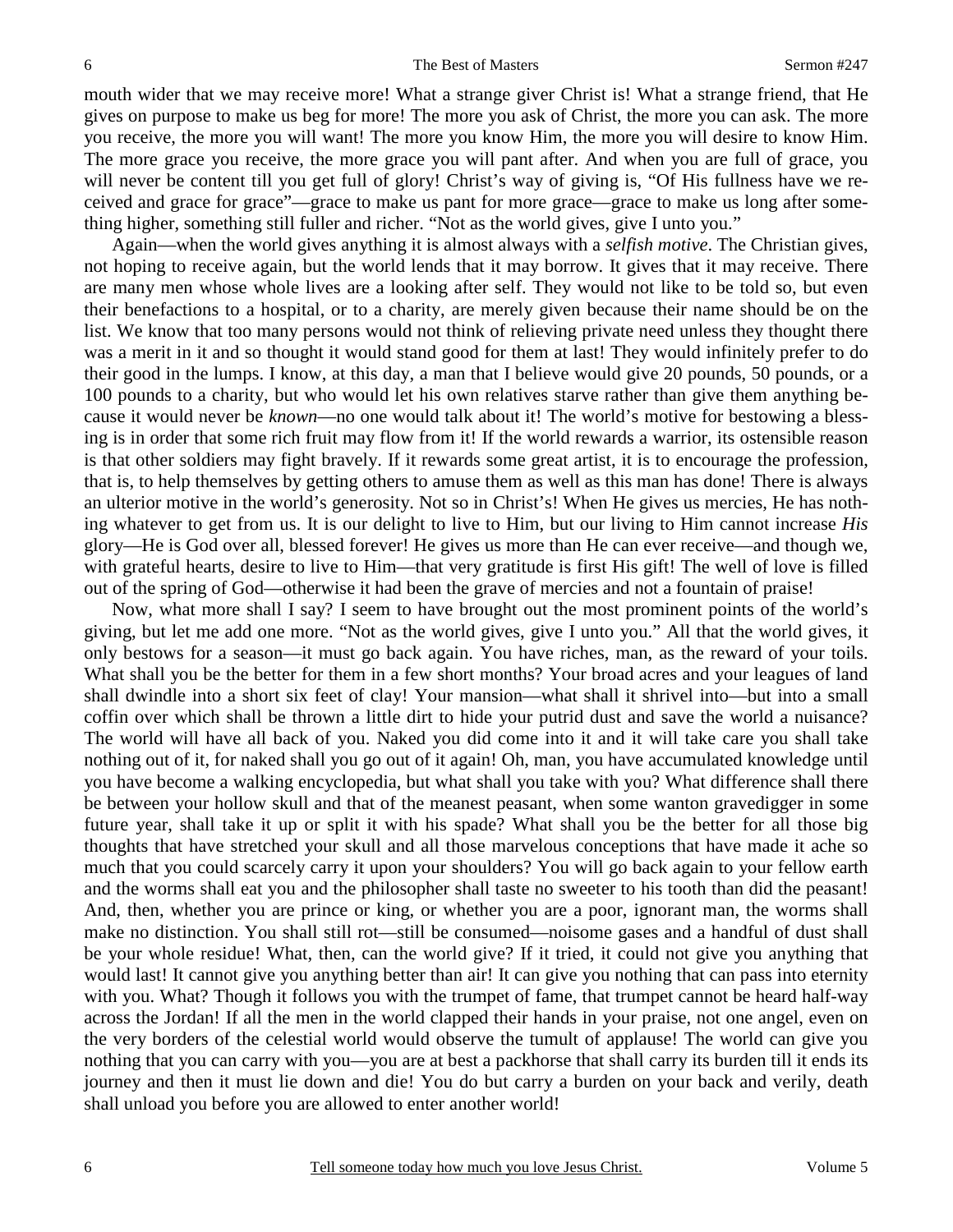mouth wider that we may receive more! What a strange giver Christ is! What a strange friend, that He gives on purpose to make us beg for more! The more you ask of Christ, the more you can ask. The more you receive, the more you will want! The more you know Him, the more you will desire to know Him. The more grace you receive, the more grace you will pant after. And when you are full of grace, you will never be content till you get full of glory! Christ's way of giving is, "Of His fullness have we received and grace for grace"—grace to make us pant for more grace—grace to make us long after something higher, something still fuller and richer. "Not as the world gives, give I unto you."

Again—when the world gives anything it is almost always with a *selfish motive*. The Christian gives, not hoping to receive again, but the world lends that it may borrow. It gives that it may receive. There are many men whose whole lives are a looking after self. They would not like to be told so, but even their benefactions to a hospital, or to a charity, are merely given because their name should be on the list. We know that too many persons would not think of relieving private need unless they thought there was a merit in it and so thought it would stand good for them at last! They would infinitely prefer to do their good in the lumps. I know, at this day, a man that I believe would give 20 pounds, 50 pounds, or a 100 pounds to a charity, but who would let his own relatives starve rather than give them anything because it would never be *known*—no one would talk about it! The world's motive for bestowing a blessing is in order that some rich fruit may flow from it! If the world rewards a warrior, its ostensible reason is that other soldiers may fight bravely. If it rewards some great artist, it is to encourage the profession, that is, to help themselves by getting others to amuse them as well as this man has done! There is always an ulterior motive in the world's generosity. Not so in Christ's! When He gives us mercies, He has nothing whatever to get from us. It is our delight to live to Him, but our living to Him cannot increase *His* glory—He is God over all, blessed forever! He gives us more than He can ever receive—and though we, with grateful hearts, desire to live to Him—that very gratitude is first His gift! The well of love is filled out of the spring of God—otherwise it had been the grave of mercies and not a fountain of praise!

Now, what more shall I say? I seem to have brought out the most prominent points of the world's giving, but let me add one more. "Not as the world gives, give I unto you." All that the world gives, it only bestows for a season—it must go back again. You have riches, man, as the reward of your toils. What shall you be the better for them in a few short months? Your broad acres and your leagues of land shall dwindle into a short six feet of clay! Your mansion—what shall it shrivel into—but into a small coffin over which shall be thrown a little dirt to hide your putrid dust and save the world a nuisance? The world will have all back of you. Naked you did come into it and it will take care you shall take nothing out of it, for naked shall you go out of it again! Oh, man, you have accumulated knowledge until you have become a walking encyclopedia, but what shall you take with you? What difference shall there be between your hollow skull and that of the meanest peasant, when some wanton gravedigger in some future year, shall take it up or split it with his spade? What shall you be the better for all those big thoughts that have stretched your skull and all those marvelous conceptions that have made it ache so much that you could scarcely carry it upon your shoulders? You will go back again to your fellow earth and the worms shall eat you and the philosopher shall taste no sweeter to his tooth than did the peasant! And, then, whether you are prince or king, or whether you are a poor, ignorant man, the worms shall make no distinction. You shall still rot—still be consumed—noisome gases and a handful of dust shall be your whole residue! What, then, can the world give? If it tried, it could not give you anything that would last! It cannot give you anything better than air! It can give you nothing that can pass into eternity with you. What? Though it follows you with the trumpet of fame, that trumpet cannot be heard half-way across the Jordan! If all the men in the world clapped their hands in your praise, not one angel, even on the very borders of the celestial world would observe the tumult of applause! The world can give you nothing that you can carry with you—you are at best a packhorse that shall carry its burden till it ends its journey and then it must lie down and die! You do but carry a burden on your back and verily, death shall unload you before you are allowed to enter another world!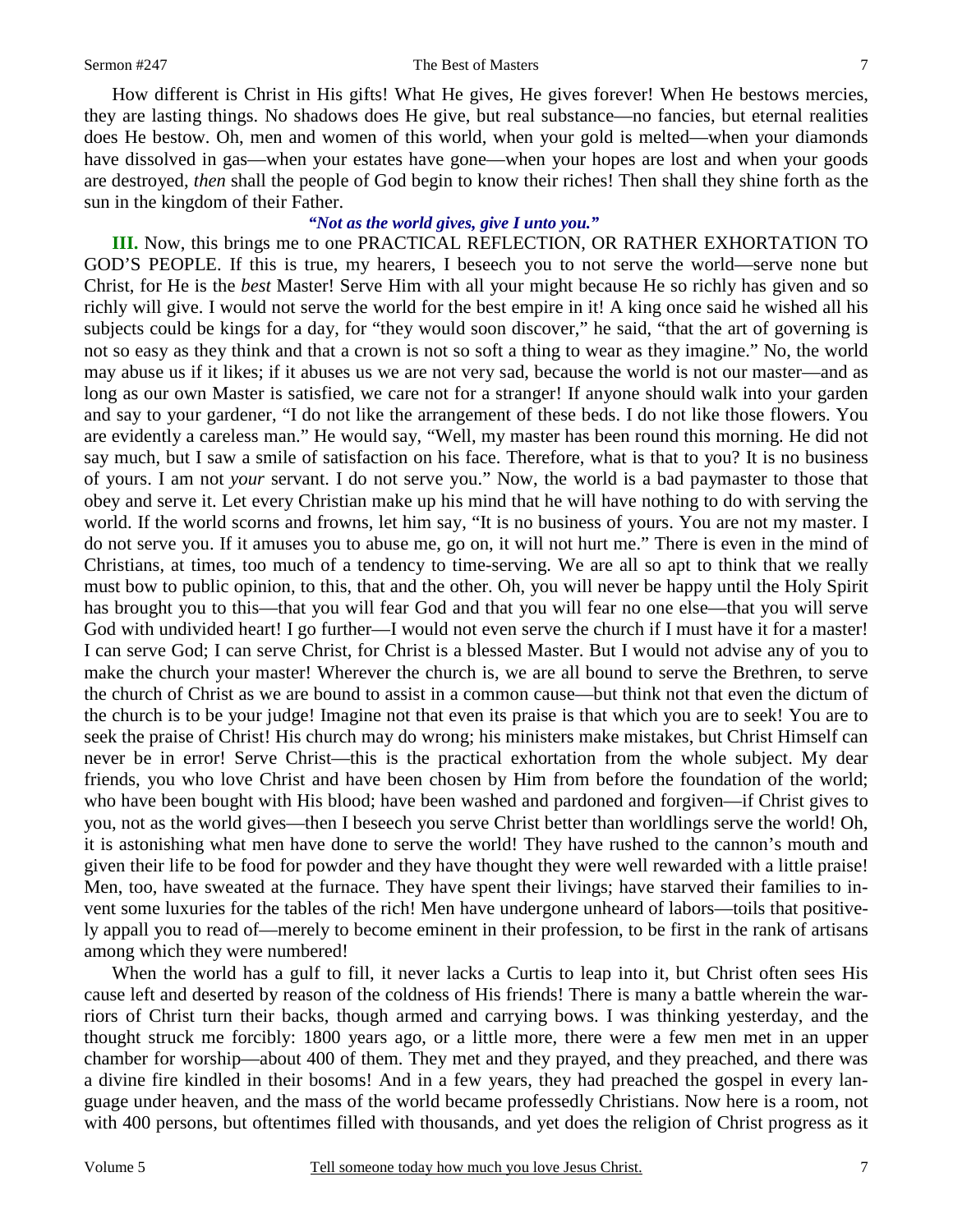How different is Christ in His gifts! What He gives, He gives forever! When He bestows mercies, they are lasting things. No shadows does He give, but real substance—no fancies, but eternal realities does He bestow. Oh, men and women of this world, when your gold is melted—when your diamonds have dissolved in gas—when your estates have gone—when your hopes are lost and when your goods are destroyed, *then* shall the people of God begin to know their riches! Then shall they shine forth as the sun in the kingdom of their Father.

### *"Not as the world gives, give I unto you."*

**III.** Now, this brings me to one PRACTICAL REFLECTION, OR RATHER EXHORTATION TO GOD'S PEOPLE. If this is true, my hearers, I beseech you to not serve the world—serve none but Christ, for He is the *best* Master! Serve Him with all your might because He so richly has given and so richly will give. I would not serve the world for the best empire in it! A king once said he wished all his subjects could be kings for a day, for "they would soon discover," he said, "that the art of governing is not so easy as they think and that a crown is not so soft a thing to wear as they imagine." No, the world may abuse us if it likes; if it abuses us we are not very sad, because the world is not our master—and as long as our own Master is satisfied, we care not for a stranger! If anyone should walk into your garden and say to your gardener, "I do not like the arrangement of these beds. I do not like those flowers. You are evidently a careless man." He would say, "Well, my master has been round this morning. He did not say much, but I saw a smile of satisfaction on his face. Therefore, what is that to you? It is no business of yours. I am not *your* servant. I do not serve you." Now, the world is a bad paymaster to those that obey and serve it. Let every Christian make up his mind that he will have nothing to do with serving the world. If the world scorns and frowns, let him say, "It is no business of yours. You are not my master. I do not serve you. If it amuses you to abuse me, go on, it will not hurt me." There is even in the mind of Christians, at times, too much of a tendency to time-serving. We are all so apt to think that we really must bow to public opinion, to this, that and the other. Oh, you will never be happy until the Holy Spirit has brought you to this—that you will fear God and that you will fear no one else—that you will serve God with undivided heart! I go further—I would not even serve the church if I must have it for a master! I can serve God; I can serve Christ, for Christ is a blessed Master. But I would not advise any of you to make the church your master! Wherever the church is, we are all bound to serve the Brethren, to serve the church of Christ as we are bound to assist in a common cause—but think not that even the dictum of the church is to be your judge! Imagine not that even its praise is that which you are to seek! You are to seek the praise of Christ! His church may do wrong; his ministers make mistakes, but Christ Himself can never be in error! Serve Christ—this is the practical exhortation from the whole subject. My dear friends, you who love Christ and have been chosen by Him from before the foundation of the world; who have been bought with His blood; have been washed and pardoned and forgiven—if Christ gives to you, not as the world gives—then I beseech you serve Christ better than worldlings serve the world! Oh, it is astonishing what men have done to serve the world! They have rushed to the cannon's mouth and given their life to be food for powder and they have thought they were well rewarded with a little praise! Men, too, have sweated at the furnace. They have spent their livings; have starved their families to invent some luxuries for the tables of the rich! Men have undergone unheard of labors—toils that positively appall you to read of—merely to become eminent in their profession, to be first in the rank of artisans among which they were numbered!

When the world has a gulf to fill, it never lacks a Curtis to leap into it, but Christ often sees His cause left and deserted by reason of the coldness of His friends! There is many a battle wherein the warriors of Christ turn their backs, though armed and carrying bows. I was thinking yesterday, and the thought struck me forcibly: 1800 years ago, or a little more, there were a few men met in an upper chamber for worship—about 400 of them. They met and they prayed, and they preached, and there was a divine fire kindled in their bosoms! And in a few years, they had preached the gospel in every language under heaven, and the mass of the world became professedly Christians. Now here is a room, not with 400 persons, but oftentimes filled with thousands, and yet does the religion of Christ progress as it